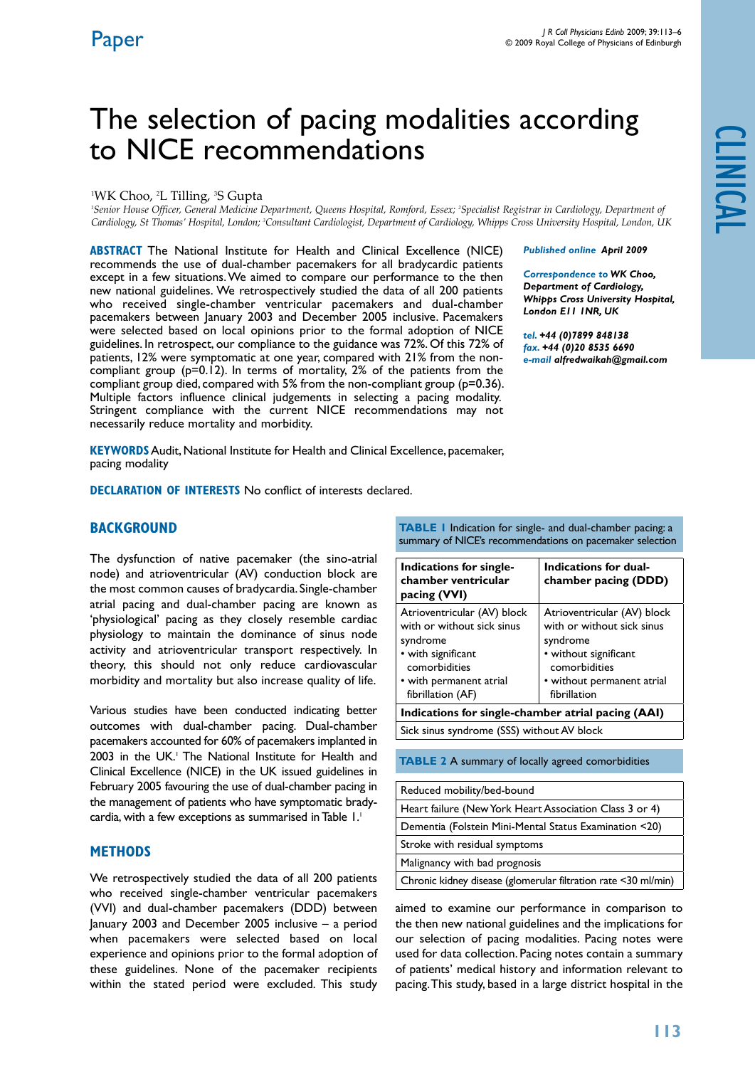# The selection of pacing modalities according to NICE recommendations

#### <sup>1</sup>WK Choo, <sup>2</sup>L Tilling, <sup>3</sup>S Gupta

*1 Senior House Officer, General Medicine Department, Queens Hospital, Romford, Essex; 2 Specialist Registrar in Cardiology, Department of Cardiology, St Thomas' Hospital, London; 3 Consultant Cardiologist, Department of Cardiology, Whipps Cross University Hospital, London, UK*

**ABSTRACT** The National Institute for Health and Clinical Excellence (NICE) recommends the use of dual-chamber pacemakers for all bradycardic patients except in a few situations. We aimed to compare our performance to the then new national guidelines. We retrospectively studied the data of all 200 patients who received single-chamber ventricular pacemakers and dual-chamber pacemakers between January 2003 and December 2005 inclusive. Pacemakers were selected based on local opinions prior to the formal adoption of NICE guidelines. In retrospect, our compliance to the guidance was 72%. Of this 72% of patients, 12% were symptomatic at one year, compared with 21% from the noncompliant group (p=0.12). In terms of mortality, 2% of the patients from the compliant group died, compared with 5% from the non-compliant group (p=0.36). Multiple factors influence clinical judgements in selecting a pacing modality. Stringent compliance with the current NICE recommendations may not necessarily reduce mortality and morbidity.

*Published online April 2009* 

*Correspondence to WK Choo, Department of Cardiology, Whipps Cross University Hospital, London E11 1NR, UK*

*tel. +44 (0)7899 848138 fax. +44 (0)20 8535 6690 e-mail alfredwaikah@gmail.com*

**Keywords** Audit, National Institute for Health and Clinical Excellence, pacemaker, pacing modality

**DECLARATION OF INTERESTS** No conflict of interests declared.

## **BACKGROUND**

The dysfunction of native pacemaker (the sino-atrial node) and atrioventricular (AV) conduction block are the most common causes of bradycardia. Single-chamber atrial pacing and dual-chamber pacing are known as 'physiological' pacing as they closely resemble cardiac physiology to maintain the dominance of sinus node activity and atrioventricular transport respectively. In theory, this should not only reduce cardiovascular morbidity and mortality but also increase quality of life.

Various studies have been conducted indicating better outcomes with dual-chamber pacing. Dual-chamber pacemakers accounted for 60% of pacemakers implanted in 2003 in the UK.<sup>1</sup> The National Institute for Health and Clinical Excellence (NICE) in the UK issued guidelines in February 2005 favouring the use of dual-chamber pacing in the management of patients who have symptomatic bradycardia, with a few exceptions as summarised in Table 1.<sup>1</sup>

## **MethodS**

We retrospectively studied the data of all 200 patients who received single-chamber ventricular pacemakers (VVI) and dual-chamber pacemakers (DDD) between January 2003 and December 2005 inclusive – a period when pacemakers were selected based on local experience and opinions prior to the formal adoption of these guidelines. None of the pacemaker recipients within the stated period were excluded. This study

**TABLE 1** Indication for single- and dual-chamber pacing: a summary of NICE's recommendations on pacemaker selection

| Indications for single-<br>chamber ventricular<br>pacing (VVI)                                                                                               | Indications for dual-<br>chamber pacing (DDD)                                                                                                                 |  |  |  |
|--------------------------------------------------------------------------------------------------------------------------------------------------------------|---------------------------------------------------------------------------------------------------------------------------------------------------------------|--|--|--|
| Atrioventricular (AV) block<br>with or without sick sinus<br>syndrome<br>• with significant<br>comorbidities<br>• with permanent atrial<br>fibrillation (AF) | Atrioventricular (AV) block<br>with or without sick sinus<br>syndrome<br>• without significant<br>comorbidities<br>• without permanent atrial<br>fibrillation |  |  |  |
| Indications for single-chamber atrial pacing (AAI)                                                                                                           |                                                                                                                                                               |  |  |  |
| Sick sinus syndrome (SSS) without AV block                                                                                                                   |                                                                                                                                                               |  |  |  |

**TABLE 2** A summary of locally agreed comorbidities

| Reduced mobility/bed-bound                                     |
|----------------------------------------------------------------|
| Heart failure (New York Heart Association Class 3 or 4)        |
| Dementia (Folstein Mini-Mental Status Examination <20)         |
| Stroke with residual symptoms                                  |
| Malignancy with bad prognosis                                  |
| Chronic kidney disease (glomerular filtration rate <30 ml/min) |

aimed to examine our performance in comparison to the then new national guidelines and the implications for our selection of pacing modalities. Pacing notes were used for data collection. Pacing notes contain a summary of patients' medical history and information relevant to pacing. This study, based in a large district hospital in the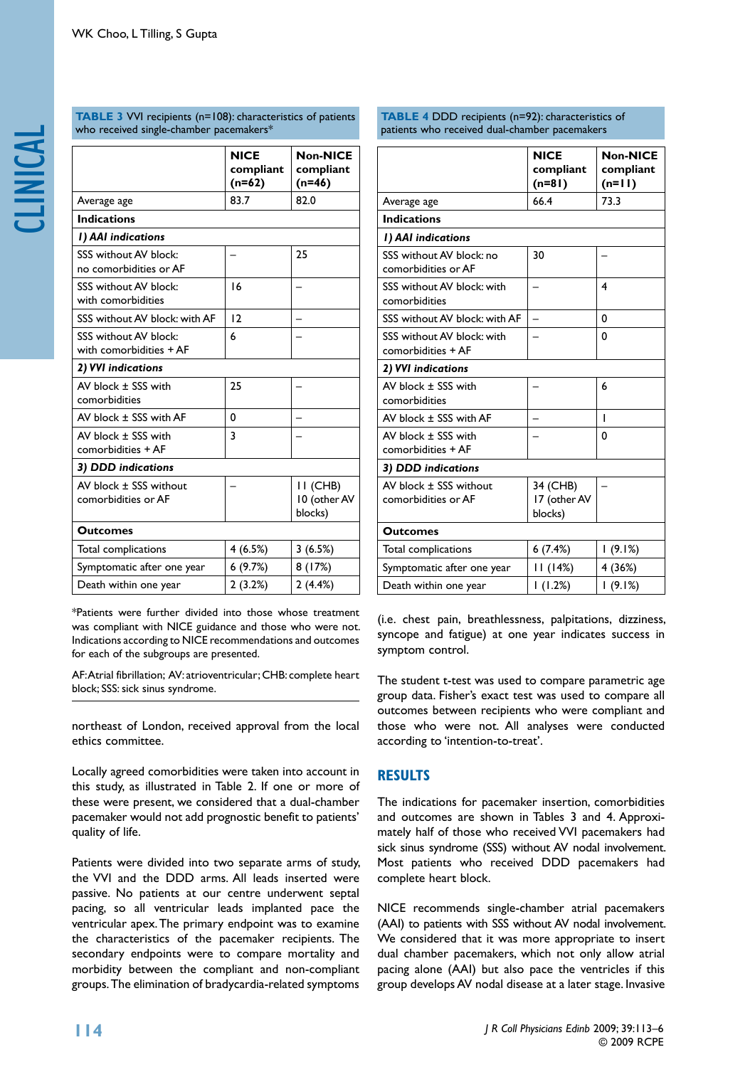|                                                  | <b>NICE</b><br>compliant<br>$(n=62)$ | <b>Non-NICE</b><br>compliant<br>$(n=46)$ |  |  |
|--------------------------------------------------|--------------------------------------|------------------------------------------|--|--|
| Average age                                      | 83.7                                 | 82.0                                     |  |  |
| <b>Indications</b>                               |                                      |                                          |  |  |
| I) AAI indications                               |                                      |                                          |  |  |
| SSS without AV block:<br>no comorbidities or AF  |                                      | 25                                       |  |  |
| SSS without AV block:<br>with comorbidities      | 16                                   |                                          |  |  |
| SSS without AV block: with AF                    | 12                                   |                                          |  |  |
| SSS without AV block:<br>with comorbidities + AF | 6                                    |                                          |  |  |
| 2) VVI indications                               |                                      |                                          |  |  |
| AV block ± SSS with<br>comorbidities             | 25                                   |                                          |  |  |
| AV block ± SSS with AF                           | 0                                    |                                          |  |  |
| AV block ± SSS with<br>comorbidities + AF        | 3                                    |                                          |  |  |
| 3) DDD indications                               |                                      |                                          |  |  |
| AV block ± SSS without<br>comorbidities or AF    |                                      | II (CHB)<br>10 (other AV<br>blocks)      |  |  |
| <b>Outcomes</b>                                  |                                      |                                          |  |  |
| Total complications                              | 4 (6.5%)                             | 3(6.5%)                                  |  |  |
| Symptomatic after one year                       | 6(9.7%)                              | 8(17%)                                   |  |  |
| Death within one year                            | 2(3.2%)                              | 2(4.4%)                                  |  |  |

**TABLE 3** VVI recipients (n=108): characteristics of patients

who received single-chamber pacemakers\*

\*Patients were further divided into those whose treatment was compliant with NICE guidance and those who were not. Indications according to NICE recommendations and outcomes for each of the subgroups are presented.

AF: Atrial fibrillation; AV: atrioventricular; CHB: complete heart block; SSS: sick sinus syndrome.

northeast of London, received approval from the local ethics committee.

Locally agreed comorbidities were taken into account in this study, as illustrated in Table 2. If one or more of these were present, we considered that a dual-chamber pacemaker would not add prognostic benefit to patients' quality of life.

Patients were divided into two separate arms of study, the VVI and the DDD arms. All leads inserted were passive. No patients at our centre underwent septal pacing, so all ventricular leads implanted pace the ventricular apex. The primary endpoint was to examine the characteristics of the pacemaker recipients. The secondary endpoints were to compare mortality and morbidity between the compliant and non-compliant groups. The elimination of bradycardia-related symptoms

**TABLE 4 DDD** recipients (n=92): characteristics of patients who received dual-chamber pacemakers

|                                                  | <b>NICE</b><br>compliant<br>$(n=81)$ | <b>Non-NICE</b><br>compliant<br>$(n=11)$ |  |  |  |  |
|--------------------------------------------------|--------------------------------------|------------------------------------------|--|--|--|--|
| Average age                                      | 66.4                                 | 73.3                                     |  |  |  |  |
| <b>Indications</b>                               |                                      |                                          |  |  |  |  |
| I) AAI indications                               |                                      |                                          |  |  |  |  |
| SSS without AV block: no<br>comorbidities or AF  | 30                                   |                                          |  |  |  |  |
| SSS without AV block: with<br>comorbidities      |                                      | $\overline{\mathbf{4}}$                  |  |  |  |  |
| SSS without AV block: with AF                    |                                      | 0                                        |  |  |  |  |
| SSS without AV block: with<br>comorbidities + AF |                                      | 0                                        |  |  |  |  |
| 2) VVI indications                               |                                      |                                          |  |  |  |  |
| AV block ± SSS with<br>comorbidities             |                                      | 6                                        |  |  |  |  |
| AV block ± SSS with AF                           |                                      | ı                                        |  |  |  |  |
| AV block ± SSS with<br>comorbidities + AF        |                                      | 0                                        |  |  |  |  |
| 3) DDD indications                               |                                      |                                          |  |  |  |  |
| AV block ± SSS without<br>comorbidities or AF    | 34 (CHB)<br>17 (other AV<br>blocks)  |                                          |  |  |  |  |
| <b>Outcomes</b>                                  |                                      |                                          |  |  |  |  |
| Total complications                              | 6(7.4%)                              | 1(9.1%)                                  |  |  |  |  |
| Symptomatic after one year                       | II (14%)                             | 4 (36%)                                  |  |  |  |  |
| Death within one year                            | 1(1.2%)                              | 1(9.1%)                                  |  |  |  |  |

(i.e. chest pain, breathlessness, palpitations, dizziness, syncope and fatigue) at one year indicates success in symptom control.

The student t-test was used to compare parametric age group data. Fisher's exact test was used to compare all outcomes between recipients who were compliant and those who were not. All analyses were conducted according to 'intention-to-treat'.

# **Results**

The indications for pacemaker insertion, comorbidities and outcomes are shown in Tables 3 and 4. Approximately half of those who received VVI pacemakers had sick sinus syndrome (SSS) without AV nodal involvement. Most patients who received DDD pacemakers had complete heart block.

NICE recommends single-chamber atrial pacemakers (AAI) to patients with SSS without AV nodal involvement. We considered that it was more appropriate to insert dual chamber pacemakers, which not only allow atrial pacing alone (AAI) but also pace the ventricles if this group develops AV nodal disease at a later stage. Invasive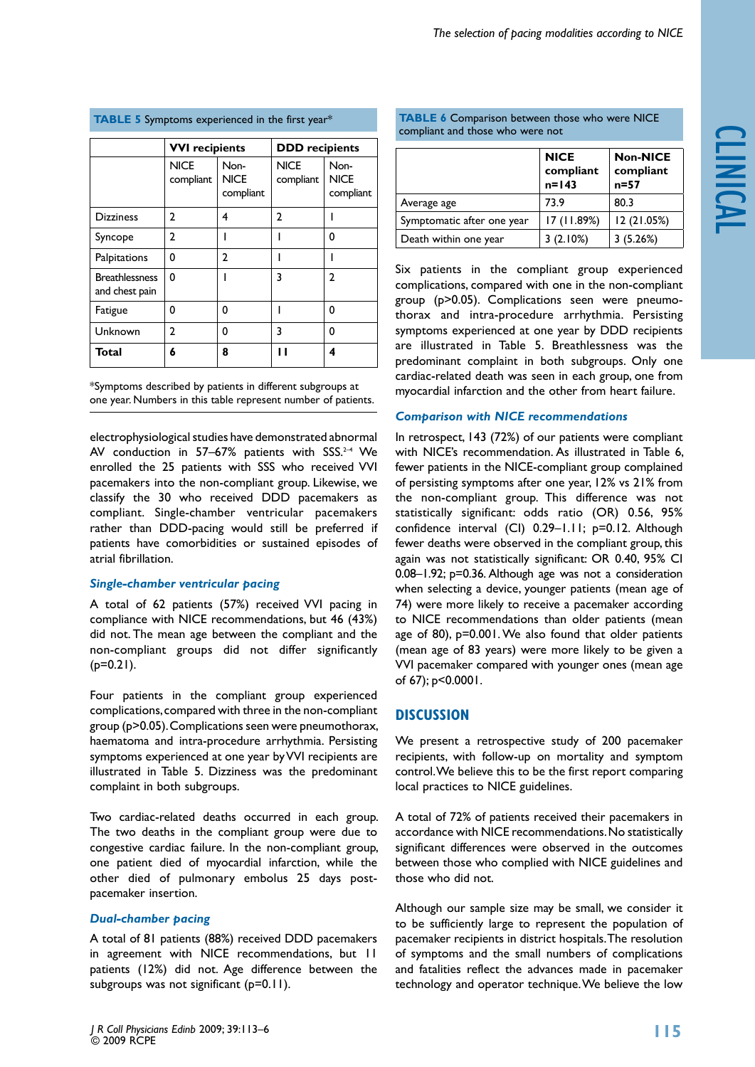|  | <b>TABLE 5</b> Symptoms experienced in the first year <sup>3</sup> |  |  |
|--|--------------------------------------------------------------------|--|--|
|  |                                                                    |  |  |

|                                         | <b>VVI</b> recipients    |                                  | <b>DDD</b> recipients    |                                  |  |
|-----------------------------------------|--------------------------|----------------------------------|--------------------------|----------------------------------|--|
|                                         | <b>NICE</b><br>compliant | Non-<br><b>NICE</b><br>compliant | <b>NICE</b><br>compliant | Non-<br><b>NICE</b><br>compliant |  |
| <b>Dizziness</b>                        | 2                        | 4                                | 2                        |                                  |  |
| Syncope                                 | $\mathbf{2}$             |                                  |                          | 0                                |  |
| Palpitations                            | 0                        | $\mathbf{2}$                     |                          |                                  |  |
| <b>Breathlessness</b><br>and chest pain | 0                        |                                  | 3                        | 2                                |  |
| Fatigue                                 | 0                        | O                                |                          | 0                                |  |
| Unknown                                 | 2                        | O                                | 3                        | 0                                |  |
| Total                                   | 6                        | 8                                |                          | 4                                |  |

\*Symptoms described by patients in different subgroups at one year. Numbers in this table represent number of patients.

electrophysiological studies have demonstrated abnormal AV conduction in 57–67% patients with  $SSS^{2-4}$  We enrolled the 25 patients with SSS who received VVI pacemakers into the non-compliant group. Likewise, we classify the 30 who received DDD pacemakers as compliant. Single-chamber ventricular pacemakers rather than DDD-pacing would still be preferred if patients have comorbidities or sustained episodes of atrial fibrillation.

#### *Single-chamber ventricular pacing*

A total of 62 patients (57%) received VVI pacing in compliance with NICE recommendations, but 46 (43%) did not. The mean age between the compliant and the non-compliant groups did not differ significantly  $(p=0.21)$ .

Four patients in the compliant group experienced complications, compared with three in the non-compliant group (p>0.05). Complications seen were pneumothorax, haematoma and intra-procedure arrhythmia. Persisting symptoms experienced at one year by VVI recipients are illustrated in Table 5. Dizziness was the predominant complaint in both subgroups.

Two cardiac-related deaths occurred in each group. The two deaths in the compliant group were due to congestive cardiac failure. In the non-compliant group, one patient died of myocardial infarction, while the other died of pulmonary embolus 25 days postpacemaker insertion.

### *Dual-chamber pacing*

A total of 81 patients (88%) received DDD pacemakers in agreement with NICE recommendations, but 11 patients (12%) did not. Age difference between the subgroups was not significant (p=0.11).

|                            | <b>NICE</b><br>compliant<br>$n=143$ | <b>Non-NICE</b><br>compliant<br>$n=57$ |
|----------------------------|-------------------------------------|----------------------------------------|
| Average age                | 73.9                                | 80.3                                   |
| Symptomatic after one year | 17 (11.89%)                         | 12 (21.05%)                            |
| Death within one year      | 3(2.10%)                            | 3(5.26%)                               |

Six patients in the compliant group experienced complications, compared with one in the non-compliant group (p>0.05). Complications seen were pneumothorax and intra-procedure arrhythmia. Persisting symptoms experienced at one year by DDD recipients are illustrated in Table 5. Breathlessness was the predominant complaint in both subgroups. Only one cardiac-related death was seen in each group, one from myocardial infarction and the other from heart failure.

#### *Comparison with NICE recommendations*

In retrospect, 143 (72%) of our patients were compliant with NICE's recommendation. As illustrated in Table 6, fewer patients in the NICE-compliant group complained of persisting symptoms after one year, 12% vs 21% from the non-compliant group. This difference was not statistically significant: odds ratio (OR) 0.56, 95% confidence interval (CI) 0.29–1.11; p=0.12. Although fewer deaths were observed in the compliant group, this again was not statistically significant: OR 0.40, 95% CI 0.08–1.92; p=0.36. Although age was not a consideration when selecting a device, younger patients (mean age of 74) were more likely to receive a pacemaker according to NICE recommendations than older patients (mean age of 80), p=0.001. We also found that older patients (mean age of 83 years) were more likely to be given a VVI pacemaker compared with younger ones (mean age of 67); p<0.0001.

# **Discussion**

We present a retrospective study of 200 pacemaker recipients, with follow-up on mortality and symptom control. We believe this to be the first report comparing local practices to NICE guidelines.

A total of 72% of patients received their pacemakers in accordance with NICE recommendations. No statistically significant differences were observed in the outcomes between those who complied with NICE guidelines and those who did not.

Although our sample size may be small, we consider it to be sufficiently large to represent the population of pacemaker recipients in district hospitals. The resolution of symptoms and the small numbers of complications and fatalities reflect the advances made in pacemaker technology and operator technique. We believe the low